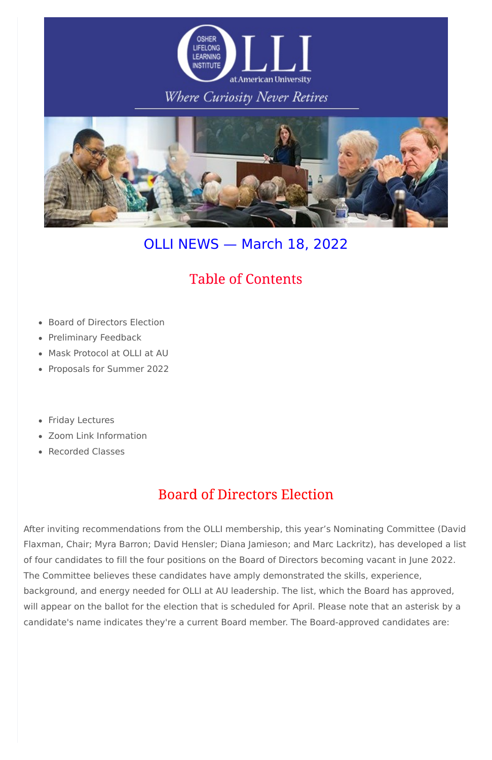

# Where Curiosity Never Retires



# OLLI NEWS — March 18, 2022

- Board of Directors Election
- Preliminary Feedback
- Mask Protocol at OLLI at AU
- Proposals for Summer 2022
- Friday Lectures
- Zoom Link Information
- Recorded Classes

# **Table of Contents**

# **Board of Directors Election**

After inviting recommendations from the OLLI membership, this year's Nominating Committee (David Flaxman, Chair; Myra Barron; David Hensler; Diana Jamieson; and Marc Lackritz), has developed a list of four candidates to fill the four positions on the Board of Directors becoming vacant in June 2022. The Committee believes these candidates have amply demonstrated the skills, experience, background, and energy needed for OLLI at AU leadership. The list, which the Board has approved, will appear on the ballot for the election that is scheduled for April. Please note that an asterisk by a candidate's name indicates they're a current Board member. The Board-approved candidates are: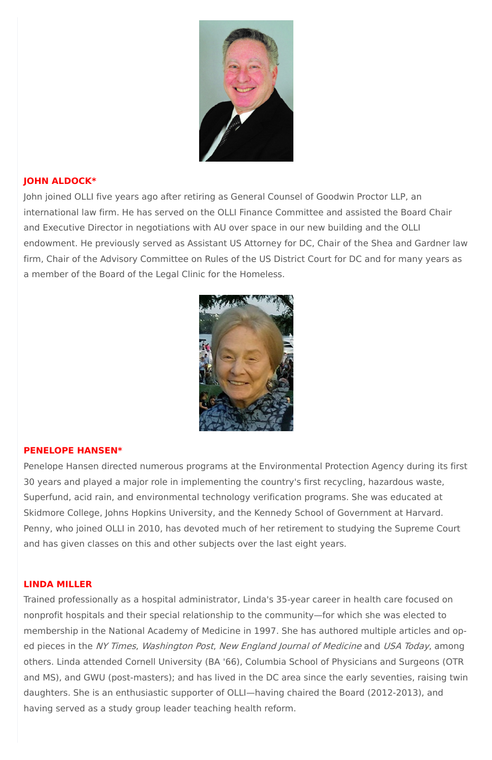

# **JOHN ALDOCK\***

John joined OLLI five years ago after retiring as General Counsel of Goodwin Proctor LLP, an international law firm. He has served on the OLLI Finance Committee and assisted the Board Chair and Executive Director in negotiations with AU over space in our new building and the OLLI endowment. He previously served as Assistant US Attorney for DC, Chair of the Shea and Gardner law firm, Chair of the Advisory Committee on Rules of the US District Court for DC and for many years as a member of the Board of the Legal Clinic for the Homeless.



### **PENELOPE HANSEN\***

Penelope Hansen directed numerous programs at the Environmental Protection Agency during its first 30 years and played a major role in implementing the country's first recycling, hazardous waste, Superfund, acid rain, and environmental technology verification programs. She was educated at Skidmore College, Johns Hopkins University, and the Kennedy School of Government at Harvard. Penny, who joined OLLI in 2010, has devoted much of her retirement to studying the Supreme Court and has given classes on this and other subjects over the last eight years.

#### **LINDA MILLER**

Trained professionally as a hospital administrator, Linda's 35-year career in health care focused on nonprofit hospitals and their special relationship to the community—for which she was elected to membership in the National Academy of Medicine in 1997. She has authored multiple articles and oped pieces in the NY Times, Washington Post, New England Journal of Medicine and USA Today, among others. Linda attended Cornell University (BA '66), Columbia School of Physicians and Surgeons (OTR and MS), and GWU (post-masters); and has lived in the DC area since the early seventies, raising twin daughters. She is an enthusiastic supporter of OLLI—having chaired the Board (2012-2013), and having served as a study group leader teaching health reform.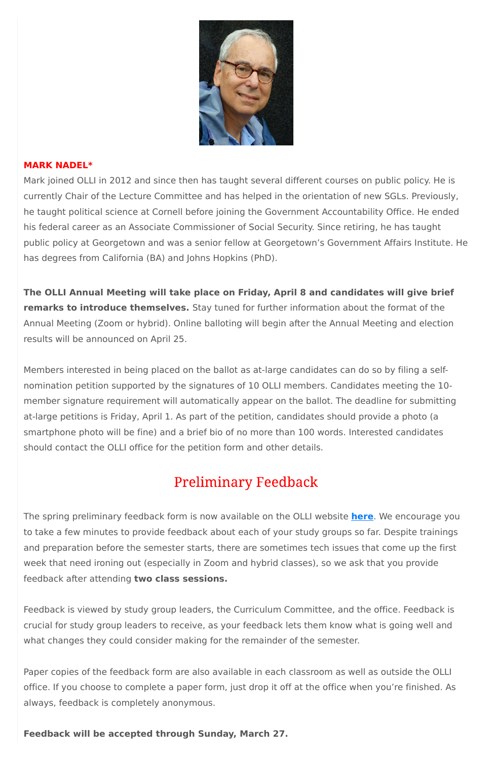

### **MARK NADEL\***

Mark joined OLLI in 2012 and since then has taught several different courses on public policy. He is currently Chair of the Lecture Committee and has helped in the orientation of new SGLs. Previously, he taught political science at Cornell before joining the Government Accountability Office. He ended his federal career as an Associate Commissioner of Social Security. Since retiring, he has taught public policy at Georgetown and was a senior fellow at Georgetown's Government Affairs Institute. He has degrees from California (BA) and Johns Hopkins (PhD).

**The OLLI Annual Meeting will take place on Friday, April 8 and candidates will give brief remarks to introduce themselves.** Stay tuned for further information about the format of the Annual Meeting (Zoom or hybrid). Online balloting will begin after the Annual Meeting and election results will be announced on April 25.

Members interested in being placed on the ballot as at-large candidates can do so by filing a selfnomination petition supported by the signatures of 10 OLLI members. Candidates meeting the 10 member signature requirement will automatically appear on the ballot. The deadline for submitting at-large petitions is Friday, April 1. As part of the petition, candidates should provide a photo (a smartphone photo will be fine) and a brief bio of no more than 100 words. Interested candidates should contact the OLLI office for the petition form and other details.

# **Preliminary Feedback**

The spring preliminary feedback form is now available on the OLLI website **[here](https://www.olli-dc.org/preliminaryfeedback)**. We encourage you to take a few minutes to provide feedback about each of your study groups so far. Despite trainings and preparation before the semester starts, there are sometimes tech issues that come up the first

week that need ironing out (especially in Zoom and hybrid classes), so we ask that you provide feedback after attending **two class sessions.**

Feedback is viewed by study group leaders, the Curriculum Committee, and the office. Feedback is crucial for study group leaders to receive, as your feedback lets them know what is going well and what changes they could consider making for the remainder of the semester.

Paper copies of the feedback form are also available in each classroom as well as outside the OLLI office. If you choose to complete a paper form, just drop it off at the office when you're finished. As always, feedback is completely anonymous.

**Feedback will be accepted through Sunday, March 27.**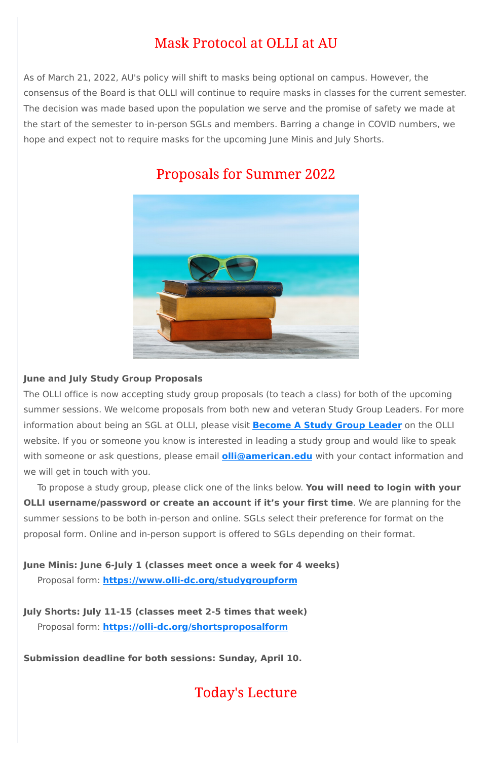# **Mask Protocol at OLLI at AU**

As of March 21, 2022, AU's policy will shift to masks being optional on campus. However, the consensus of the Board is that OLLI will continue to require masks in classes for the current semester. The decision was made based upon the population we serve and the promise of safety we made at the start of the semester to in-person SGLs and members. Barring a change in COVID numbers, we hope and expect not to require masks for the upcoming June Minis and July Shorts.



# **Proposals for Summer 2022**

# **June and July Study Group Proposals**

The OLLI office is now accepting study group proposals (to teach a class) for both of the upcoming summer sessions. We welcome proposals from both new and veteran Study Group Leaders. For more information about being an SGL at OLLI, please visit **[Become](https://olli-dc.org/become_a_study_group_leader) A Study Group Leader** on the OLLI website. If you or someone you know is interested in leading a study group and would like to speak with someone or ask questions, please email **[olli@american.edu](mailto:olli@american.edu)** with your contact information and we will get in touch with you.

To propose a study group, please click one of the links below. **You will need to login with your OLLI username/password or create an account if it's your first time**. We are planning for the summer sessions to be both in-person and online. SGLs select their preference for format on the proposal form. Online and in-person support is offered to SGLs depending on their format.

**June Minis: June 6-July 1 (classes meet once a week for 4 weeks)**

Proposal form: **[https://www.olli-dc.org/studygroupform](https://olli-dc.org/studygroupform)**

**July Shorts: July 11-15 (classes meet 2-5 times that week)**

Proposal form: **<https://olli-dc.org/shortsproposalform>**

**Submission deadline for both sessions: Sunday, April 10.**

**Today's Lecture**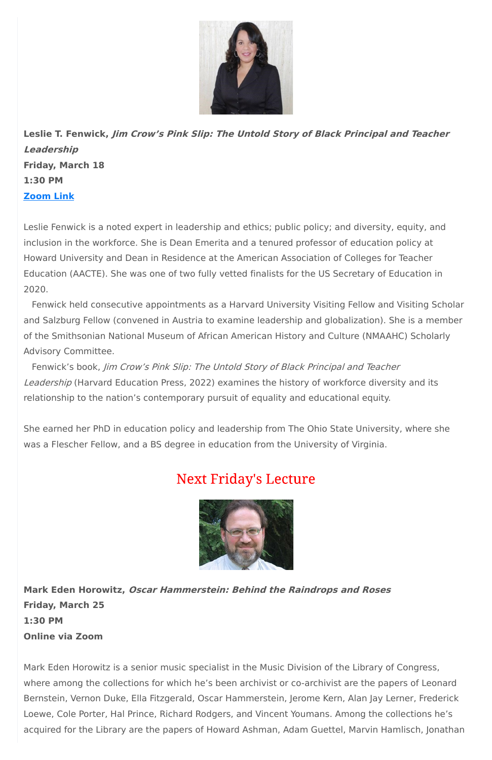

**Leslie T. Fenwick, Jim Crow's Pink Slip: The Untold Story of Black Principal and Teacher Leadership Friday, March 18 1:30 PM [Zoom](https://olli-dc-org.zoom.us/j/95945534496?pwd=MXd2MWx5Q2lyM0V6T3lnQkp5OUVvUT09) Link**

Leslie Fenwick is a noted expert in leadership and ethics; public policy; and diversity, equity, and inclusion in the workforce. She is Dean Emerita and a tenured professor of education policy at Howard University and Dean in Residence at the American Association of Colleges for Teacher Education (AACTE). She was one of two fully vetted finalists for the US Secretary of Education in 2020.

Fenwick held consecutive appointments as a Harvard University Visiting Fellow and Visiting Scholar and Salzburg Fellow (convened in Austria to examine leadership and globalization). She is a member of the Smithsonian National Museum of African American History and Culture (NMAAHC) Scholarly Advisory Committee.

Fenwick's book, Jim Crow's Pink Slip: The Untold Story of Black Principal and Teacher Leadership (Harvard Education Press, 2022) examines the history of workforce diversity and its relationship to the nation's contemporary pursuit of equality and educational equity.

She earned her PhD in education policy and leadership from The Ohio State University, where she was a Flescher Fellow, and a BS degree in education from the University of Virginia.

# **Next Friday's Lecture**



**Mark Eden Horowitz, Oscar Hammerstein: Behind the Raindrops and Roses**

**Friday, March 25**

#### **1:30 PM**

**Online via Zoom**

Mark Eden Horowitz is a senior music specialist in the Music Division of the Library of Congress, where among the collections for which he's been archivist or co-archivist are the papers of Leonard Bernstein, Vernon Duke, Ella Fitzgerald, Oscar Hammerstein, Jerome Kern, Alan Jay Lerner, Frederick Loewe, Cole Porter, Hal Prince, Richard Rodgers, and Vincent Youmans. Among the collections he's acquired for the Library are the papers of Howard Ashman, Adam Guettel, Marvin Hamlisch, Jonathan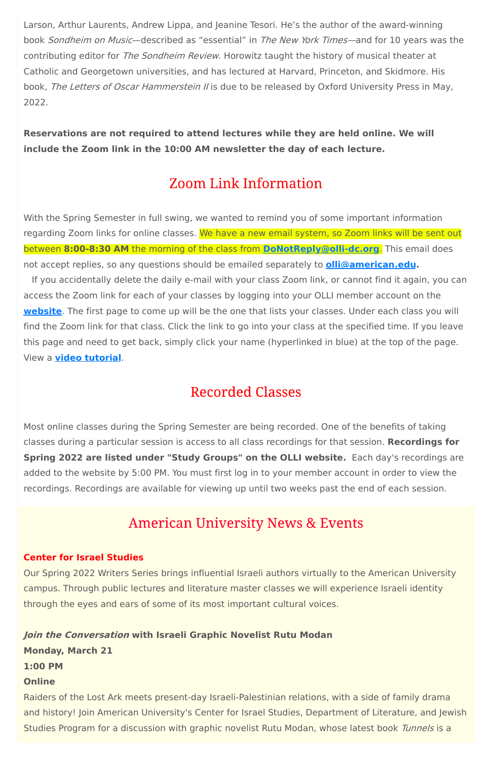Larson, Arthur Laurents, Andrew Lippa, and Jeanine Tesori. He's the author of the award-winning book Sondheim on Music—described as "essential" in The New York Times—and for 10 years was the contributing editor for *The Sondheim Review*. Horowitz taught the history of musical theater at Catholic and Georgetown universities, and has lectured at Harvard, Princeton, and Skidmore. His book, The Letters of Oscar Hammerstein II is due to be released by Oxford University Press in May, 2022.

**Reservations are not required to attend lectures while they are held online. We will include the Zoom link in the 10:00 AM newsletter the day of each lecture.**

# **Zoom Link Information**

With the Spring Semester in full swing, we wanted to remind you of some important information regarding Zoom links for online classes. We have a new email system, so Zoom links will be sent out between **8:00-8:30 AM** the morning of the class from **[DoNotReply@olli-dc.org](mailto:DoNotReply@olli-dc.org)**. This email does not accept replies, so any questions should be emailed separately to **[olli@american.edu.](mailto:olli@american.edu)**

Raiders of the Lost Ark meets present-day Israeli-Palestinian relations, with a side of family drama and history! Join American University's Center for Israel Studies, Department of Literature, and Jewish Studies Program for a discussion with graphic novelist Rutu Modan, whose latest book Tunnels is a

If you accidentally delete the daily e-mail with your class Zoom link, or cannot find it again, you can access the Zoom link for each of your classes by logging into your OLLI member account on the **[website](https://www.olli-dc.org/)**. The first page to come up will be the one that lists your classes. Under each class you will find the Zoom link for that class. Click the link to go into your class at the specified time. If you leave this page and need to get back, simply click your name (hyperlinked in blue) at the top of the page. View a **video [tutorial](https://vimeo.com/666099470)**.

# **Recorded Classes**

Most online classes during the Spring Semester are being recorded. One of the benefits of taking classes during a particular session is access to all class recordings for that session. **Recordings for Spring 2022 are listed under "Study Groups" on the OLLI website.** Each day's recordings are added to the website by 5:00 PM. You must first log in to your member account in order to view the recordings. Recordings are available for viewing up until two weeks past the end of each session.

# **American University News & Events**

**Center for Israel Studies**

Our Spring 2022 Writers Series brings influential Israeli authors virtually to the American University campus. Through public lectures and literature master classes we will experience Israeli identity through the eyes and ears of some of its most important cultural voices.

### **Join the Conversation with Israeli Graphic Novelist Rutu Modan**

**Monday, March 21**

**1:00 PM**

#### **Online**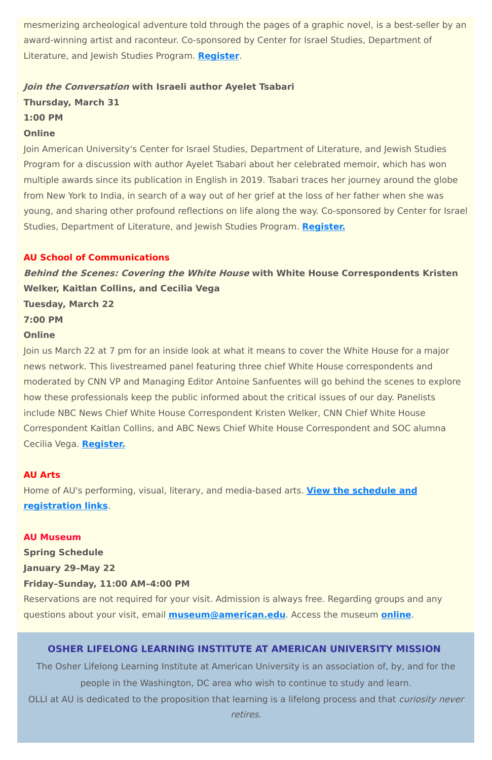mesmerizing archeological adventure told through the pages of a graphic novel, is a best-seller by an award-winning artist and raconteur. Co-sponsored by Center for Israel Studies, Department of Literature, and Jewish Studies Program. **[Register](https://www.eventbrite.com/e/israeli-writers-series-a-conversation-with-graphic-novelist-rutu-modan-tickets-277783787787)**.

#### **Join the Conversation with Israeli author Ayelet Tsabari**

**Thursday, March 31**

#### **1:00 PM**

#### **Online**

Join American University's Center for Israel Studies, Department of Literature, and Jewish Studies Program for a discussion with author Ayelet Tsabari about her celebrated memoir, which has won multiple awards since its publication in English in 2019. Tsabari traces her journey around the globe from New York to India, in search of a way out of her grief at the loss of her father when she was young, and sharing other profound reflections on life along the way. Co-sponsored by Center for Israel Studies, Department of Literature, and Jewish Studies Program. **[Register.](https://www.eventbrite.com/e/israeli-writers-series-a-conversation-with-author-ayelet-tsabari-tickets-288938712467)**

### **AU School of Communications**

**Behind the Scenes: Covering the White House with White House Correspondents Kristen Welker, Kaitlan Collins, and Cecilia Vega**

**Tuesday, March 22**

**7:00 PM**

### **Online**

Join us March 22 at 7 pm for an inside look at what it means to cover the White House for a major news network. This livestreamed panel featuring three chief White House correspondents and moderated by CNN VP and Managing Editor Antoine Sanfuentes will go behind the scenes to explore how these professionals keep the public informed about the critical issues of our day. Panelists include NBC News Chief White House Correspondent Kristen Welker, CNN Chief White House Correspondent Kaitlan Collins, and ABC News Chief White House Correspondent and SOC alumna Cecilia Vega. **[Register.](https://www.eventbrite.com/e/behind-the-scenes-covering-the-white-house-tickets-269668574967)**

### **AU Arts**

Home of AU's performing, visual, literary, and media-based arts. **View the schedule and [registration](https://www.american.edu/arts/) links**.

# **AU Museum**

**Spring Schedule**

#### **January 29–May 22**

#### **Friday–Sunday, 11:00 AM–4:00 PM**

Reservations are not required for your visit. Admission is always free. Regarding groups and any questions about your visit, email **[museum@american.edu](mailto:museum@american.edu)**. Access the museum **[online](https://www.american.edu/cas/museum/reopening.cfm)**.

#### **OSHER LIFELONG LEARNING INSTITUTE AT AMERICAN UNIVERSITY MISSION**

The Osher Lifelong Learning Institute at American University is an association of, by, and for the people in the Washington, DC area who wish to continue to study and learn. OLLI at AU is dedicated to the proposition that learning is a lifelong process and that *curiosity never* retires.